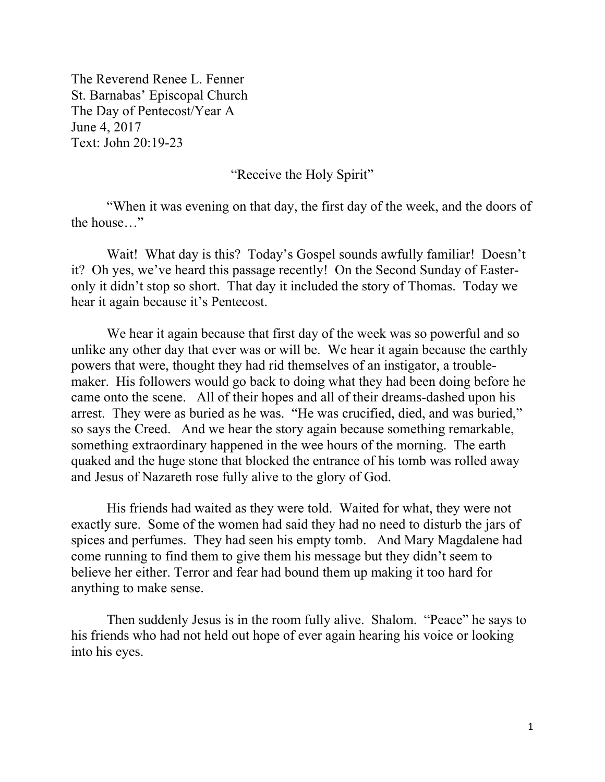The Reverend Renee L. Fenner St. Barnabas' Episcopal Church The Day of Pentecost/Year A June 4, 2017 Text: John 20:19-23

"Receive the Holy Spirit"

"When it was evening on that day, the first day of the week, and the doors of the house…"

Wait! What day is this? Today's Gospel sounds awfully familiar! Doesn't it? Oh yes, we've heard this passage recently! On the Second Sunday of Easteronly it didn't stop so short. That day it included the story of Thomas. Today we hear it again because it's Pentecost.

We hear it again because that first day of the week was so powerful and so unlike any other day that ever was or will be. We hear it again because the earthly powers that were, thought they had rid themselves of an instigator, a troublemaker. His followers would go back to doing what they had been doing before he came onto the scene. All of their hopes and all of their dreams-dashed upon his arrest. They were as buried as he was. "He was crucified, died, and was buried," so says the Creed. And we hear the story again because something remarkable, something extraordinary happened in the wee hours of the morning. The earth quaked and the huge stone that blocked the entrance of his tomb was rolled away and Jesus of Nazareth rose fully alive to the glory of God.

His friends had waited as they were told. Waited for what, they were not exactly sure. Some of the women had said they had no need to disturb the jars of spices and perfumes. They had seen his empty tomb. And Mary Magdalene had come running to find them to give them his message but they didn't seem to believe her either. Terror and fear had bound them up making it too hard for anything to make sense.

Then suddenly Jesus is in the room fully alive. Shalom. "Peace" he says to his friends who had not held out hope of ever again hearing his voice or looking into his eyes.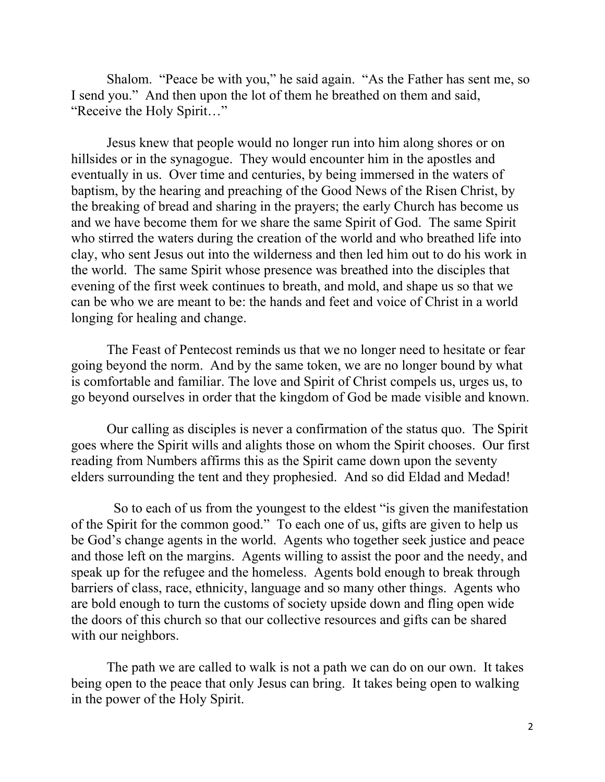Shalom. "Peace be with you," he said again. "As the Father has sent me, so I send you." And then upon the lot of them he breathed on them and said, "Receive the Holy Spirit…"

Jesus knew that people would no longer run into him along shores or on hillsides or in the synagogue. They would encounter him in the apostles and eventually in us. Over time and centuries, by being immersed in the waters of baptism, by the hearing and preaching of the Good News of the Risen Christ, by the breaking of bread and sharing in the prayers; the early Church has become us and we have become them for we share the same Spirit of God. The same Spirit who stirred the waters during the creation of the world and who breathed life into clay, who sent Jesus out into the wilderness and then led him out to do his work in the world. The same Spirit whose presence was breathed into the disciples that evening of the first week continues to breath, and mold, and shape us so that we can be who we are meant to be: the hands and feet and voice of Christ in a world longing for healing and change.

The Feast of Pentecost reminds us that we no longer need to hesitate or fear going beyond the norm. And by the same token, we are no longer bound by what is comfortable and familiar. The love and Spirit of Christ compels us, urges us, to go beyond ourselves in order that the kingdom of God be made visible and known.

Our calling as disciples is never a confirmation of the status quo. The Spirit goes where the Spirit wills and alights those on whom the Spirit chooses. Our first reading from Numbers affirms this as the Spirit came down upon the seventy elders surrounding the tent and they prophesied. And so did Eldad and Medad!

 So to each of us from the youngest to the eldest "is given the manifestation of the Spirit for the common good." To each one of us, gifts are given to help us be God's change agents in the world. Agents who together seek justice and peace and those left on the margins. Agents willing to assist the poor and the needy, and speak up for the refugee and the homeless. Agents bold enough to break through barriers of class, race, ethnicity, language and so many other things. Agents who are bold enough to turn the customs of society upside down and fling open wide the doors of this church so that our collective resources and gifts can be shared with our neighbors.

The path we are called to walk is not a path we can do on our own. It takes being open to the peace that only Jesus can bring. It takes being open to walking in the power of the Holy Spirit.